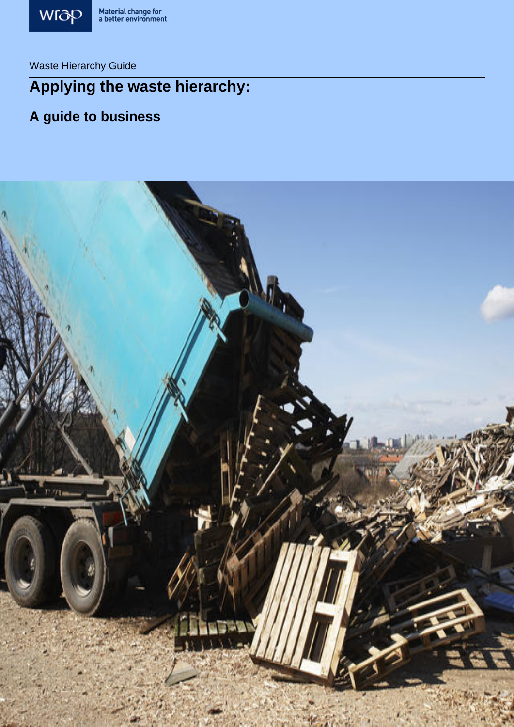

 $\frac{M_{\text{C}}}{M_{\text{C}}}\frac{M_{\text{C}}}{M_{\text{C}}}\frac{M_{\text{C}}}{M_{\text{C}}}\frac{M_{\text{C}}}{M_{\text{C}}}\frac{M_{\text{C}}}{M_{\text{C}}}\frac{M_{\text{C}}}{M_{\text{C}}}\frac{M_{\text{C}}}{M_{\text{C}}}\frac{M_{\text{C}}}{M_{\text{C}}}\frac{M_{\text{C}}}{M_{\text{C}}}\frac{M_{\text{C}}}{M_{\text{C}}}\frac{M_{\text{C}}}{M_{\text{C}}}\frac{M_{\text{C}}}{M_{\text{C}}}\frac{M$ Waste Hierarchy Guide

# **Applying the waste hierarchy:**

# **A guide to business**

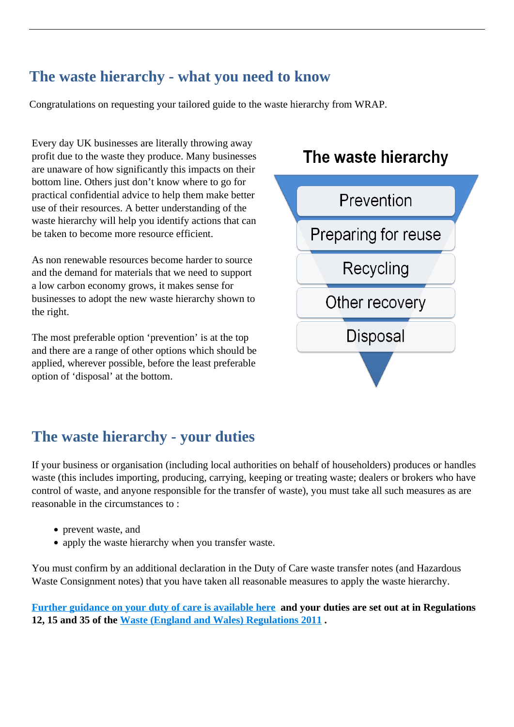# **The waste hierarchy - what you need to know**

Congratulations on requesting your tailored guide to the waste hierarchy from WRAP.

Every day UK businesses are literally throwing away profit due to the waste they produce. Many businesses are unaware of how significantly this impacts on their bottom line. Others just don't know where to go for practical confidential advice to help them make better use of their resources. A better understanding of the waste hierarchy will help you identify actions that can be taken to become more resource efficient.

As non renewable resources become harder to source and the demand for materials that we need to support a low carbon economy grows, it makes sense for businesses to adopt the new waste hierarchy shown to the right.

The most preferable option 'prevention' is at the top and there are a range of other options which should be applied, wherever possible, before the least preferable option of 'disposal' at the bottom.

# The waste hierarchy



# **The waste hierarchy - your duties**

If your business or organisation (including local authorities on behalf of householders) produces or handles waste (this includes importing, producing, carrying, keeping or treating waste; dealers or brokers who have control of waste, and anyone responsible for the transfer of waste), you must take all such measures as are reasonable in the circumstances to :

- prevent waste, and
- apply the waste hierarchy when you transfer waste.

You must confirm by an additional declaration in the Duty of Care waste transfer notes (and Hazardous Waste Consignment notes) that you have taken all reasonable measures to apply the waste hierarchy.

**[Further guidance on your duty of care is available here](http://www.environment-agency.gov.uk/business/topics/waste/40047.aspx) and your duties are set out at in Regulations 12, 15 and 35 of the [Waste \(England and Wales\) Regulations 2011](http://www.legislation.gov.uk/ukdsi/2011/9780111506462/contents) .**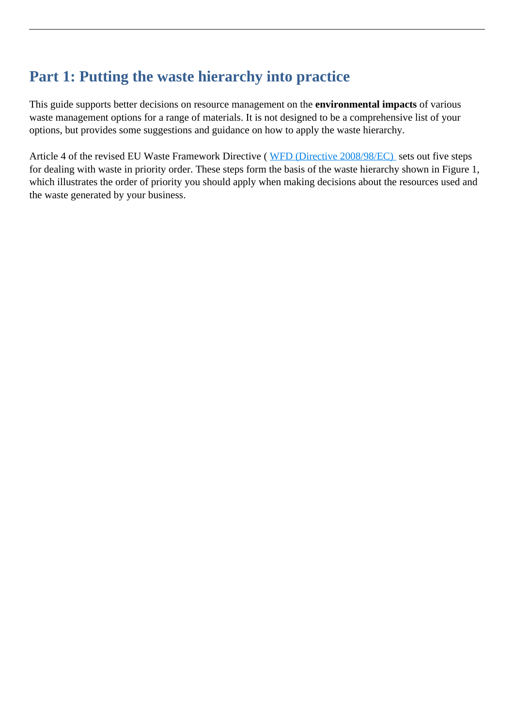# **Part 1: Putting the waste hierarchy into practice**

This guide supports better decisions on resource management on the **environmental impacts** of various waste management options for a range of materials. It is not designed to be a comprehensive list of your options, but provides some suggestions and guidance on how to apply the waste hierarchy.

Article 4 of the revised EU Waste Framework Directive ([WFD \(Directive 2008/98/EC\)](http://eur-lex.europa.eu/LexUriServ/LexUriServ.do?uri=OJ:L:2008:312:0003:0030:EN:pdf) sets out five steps for dealing with waste in priority order. These steps form the basis of the waste hierarchy shown in Figure 1, which illustrates the order of priority you should apply when making decisions about the resources used and the waste generated by your business.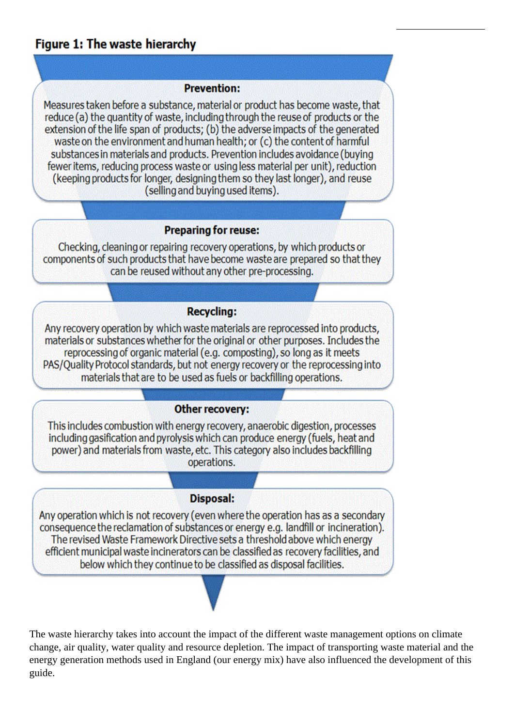# Figure 1: The waste hierarchy

### **Prevention:**

Measures taken before a substance, material or product has become waste, that reduce (a) the quantity of waste, including through the reuse of products or the extension of the life span of products; (b) the adverse impacts of the generated waste on the environment and human health; or (c) the content of harmful substances in materials and products. Prevention includes avoidance (buying fewer items, reducing process waste or using less material per unit), reduction (keeping products for longer, designing them so they last longer), and reuse (selling and buying used items).

### **Preparing for reuse:**

Checking, cleaning or repairing recovery operations, by which products or components of such products that have become waste are prepared so that they can be reused without any other pre-processing.

### **Recycling:**

Any recovery operation by which waste materials are reprocessed into products, materials or substances whether for the original or other purposes. Includes the reprocessing of organic material (e.g. composting), so long as it meets PAS/Quality Protocol standards, but not energy recovery or the reprocessing into materials that are to be used as fuels or backfilling operations.

### **Other recovery:**

This includes combustion with energy recovery, anaerobic digestion, processes including gasification and pyrolysis which can produce energy (fuels, heat and power) and materials from waste, etc. This category also includes backfilling operations.

### **Disposal:**

Any operation which is not recovery (even where the operation has as a secondary consequence the reclamation of substances or energy e.g. landfill or incineration). The revised Waste Framework Directive sets a threshold above which energy efficient municipal waste incinerators can be classified as recovery facilities, and below which they continue to be classified as disposal facilities.

The waste hierarchy takes into account the impact of the different waste management options on climate change, air quality, water quality and resource depletion. The impact of transporting waste material and the energy generation methods used in England (our energy mix) have also influenced the development of this guide.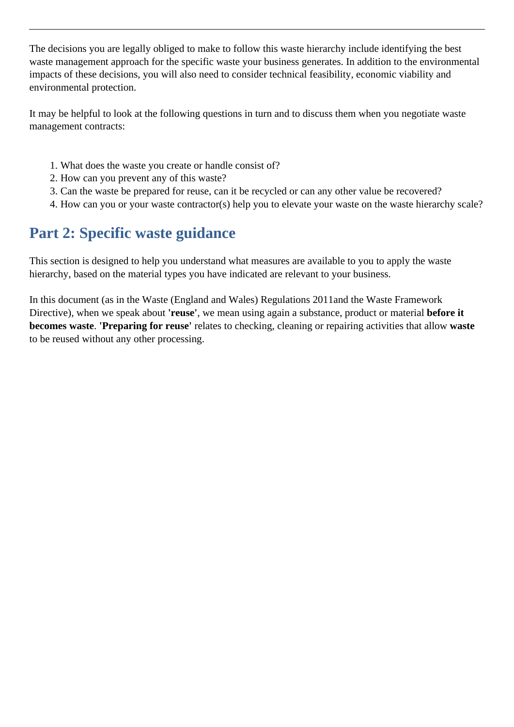The decisions you are legally obliged to make to follow this waste hierarchy include identifying the best waste management approach for the specific waste your business generates. In addition to the environmental impacts of these decisions, you will also need to consider technical feasibility, economic viability and environmental protection.

It may be helpful to look at the following questions in turn and to discuss them when you negotiate waste management contracts:

- 1. What does the waste you create or handle consist of?
- 2. How can you prevent any of this waste?
- 3. Can the waste be prepared for reuse, can it be recycled or can any other value be recovered?
- 4. How can you or your waste contractor(s) help you to elevate your waste on the waste hierarchy scale?

# **Part 2: Specific waste guidance**

This section is designed to help you understand what measures are available to you to apply the waste hierarchy, based on the material types you have indicated are relevant to your business.

In this document (as in the Waste (England and Wales) Regulations 2011and the Waste Framework Directive), when we speak about **'reuse'**, we mean using again a substance, product or material **before it becomes waste**. **'Preparing for reuse'** relates to checking, cleaning or repairing activities that allow **waste** to be reused without any other processing.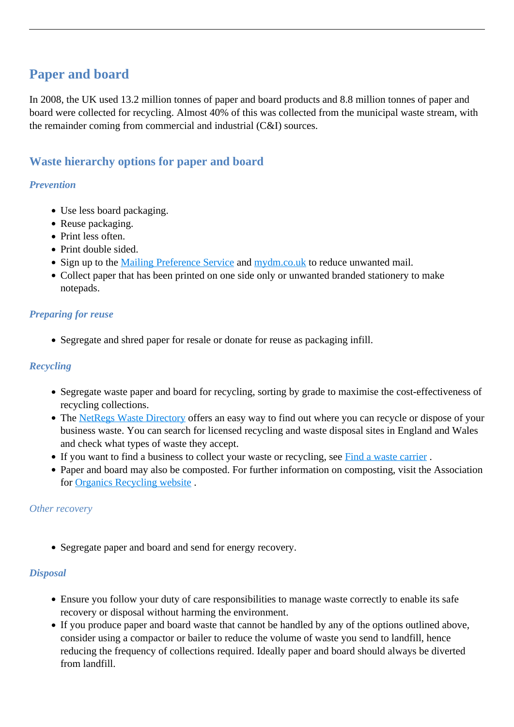# **Paper and board**

In 2008, the UK used 13.2 million tonnes of paper and board products and 8.8 million tonnes of paper and board were collected for recycling. Almost 40% of this was collected from the municipal waste stream, with the remainder coming from commercial and industrial (C&I) sources.

### **Waste hierarchy options for paper and board**

### *Prevention*

- Use less board packaging.
- Reuse packaging.
- Print less often.
- Print double sided.
- Sign up to the [Mailing Preference Service](http://www.mpsonline.org.uk/mpsr/) and [mydm.co.uk](http://www.dma.org.uk/content/home.asp) to reduce unwanted mail.
- Collect paper that has been printed on one side only or unwanted branded stationery to make notepads.

### *Preparing for reuse*

Segregate and shred paper for resale or donate for reuse as packaging infill.

### *Recycling*

- Segregate waste paper and board for recycling, sorting by grade to maximise the cost-effectiveness of recycling collections.
- The [NetRegs Waste Directory](http://wastedirectory.org.uk/) offers an easy way to find out where you can recycle or dispose of your business waste. You can search for licensed recycling and waste disposal sites in England and Wales and check what types of waste they accept.
- If you want to find a business to collect your waste or recycling, see Find a waste carrier.
- Paper and board may also be composted. For further information on composting, visit the Association for [Organics Recycling website](http://www.organics-recycling.org.uk/) .

### *Other recovery*

• Segregate paper and board and send for energy recovery.

### *Disposal*

- Ensure you follow your duty of care responsibilities to manage waste correctly to enable its safe recovery or disposal without harming the environment.
- If you produce paper and board waste that cannot be handled by any of the options outlined above, consider using a compactor or bailer to reduce the volume of waste you send to landfill, hence reducing the frequency of collections required. Ideally paper and board should always be diverted from landfill.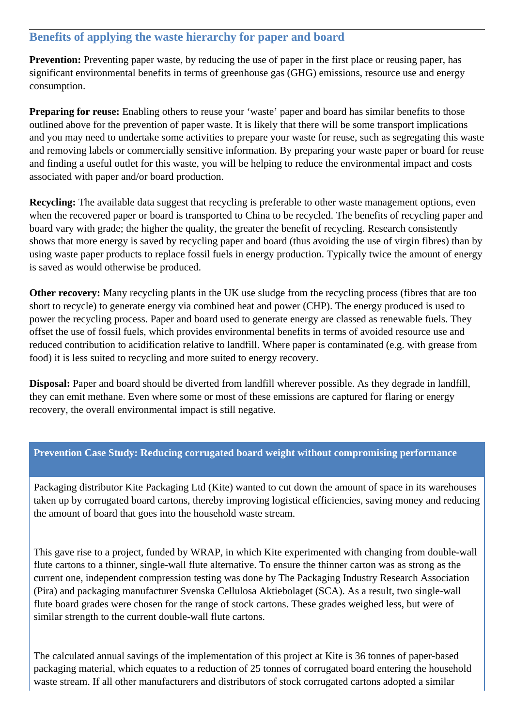### **Benefits of applying the waste hierarchy for paper and board**

**Prevention:** Preventing paper waste, by reducing the use of paper in the first place or reusing paper, has significant environmental benefits in terms of greenhouse gas (GHG) emissions, resource use and energy consumption.

**Preparing for reuse:** Enabling others to reuse your 'waste' paper and board has similar benefits to those outlined above for the prevention of paper waste. It is likely that there will be some transport implications and you may need to undertake some activities to prepare your waste for reuse, such as segregating this waste and removing labels or commercially sensitive information. By preparing your waste paper or board for reuse and finding a useful outlet for this waste, you will be helping to reduce the environmental impact and costs associated with paper and/or board production.

**Recycling:** The available data suggest that recycling is preferable to other waste management options, even when the recovered paper or board is transported to China to be recycled. The benefits of recycling paper and board vary with grade; the higher the quality, the greater the benefit of recycling. Research consistently shows that more energy is saved by recycling paper and board (thus avoiding the use of virgin fibres) than by using waste paper products to replace fossil fuels in energy production. Typically twice the amount of energy is saved as would otherwise be produced.

**Other recovery:** Many recycling plants in the UK use sludge from the recycling process (fibres that are too short to recycle) to generate energy via combined heat and power (CHP). The energy produced is used to power the recycling process. Paper and board used to generate energy are classed as renewable fuels. They offset the use of fossil fuels, which provides environmental benefits in terms of avoided resource use and reduced contribution to acidification relative to landfill. Where paper is contaminated (e.g. with grease from food) it is less suited to recycling and more suited to energy recovery.

**Disposal:** Paper and board should be diverted from landfill wherever possible. As they degrade in landfill, they can emit methane. Even where some or most of these emissions are captured for flaring or energy recovery, the overall environmental impact is still negative.

### **Prevention Case Study: Reducing corrugated board weight without compromising performance**

Packaging distributor Kite Packaging Ltd (Kite) wanted to cut down the amount of space in its warehouses taken up by corrugated board cartons, thereby improving logistical efficiencies, saving money and reducing the amount of board that goes into the household waste stream.

This gave rise to a project, funded by WRAP, in which Kite experimented with changing from double-wall flute cartons to a thinner, single-wall flute alternative. To ensure the thinner carton was as strong as the current one, independent compression testing was done by The Packaging Industry Research Association (Pira) and packaging manufacturer Svenska Cellulosa Aktiebolaget (SCA). As a result, two single-wall flute board grades were chosen for the range of stock cartons. These grades weighed less, but were of similar strength to the current double-wall flute cartons.

The calculated annual savings of the implementation of this project at Kite is 36 tonnes of paper-based packaging material, which equates to a reduction of 25 tonnes of corrugated board entering the household waste stream. If all other manufacturers and distributors of stock corrugated cartons adopted a similar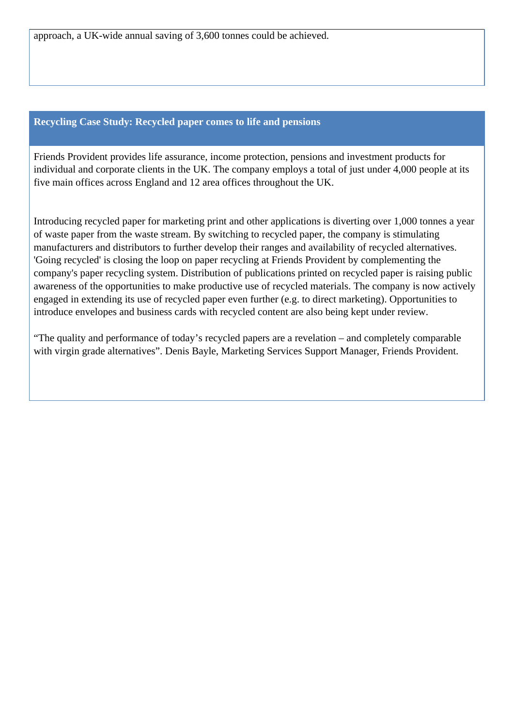approach, a UK-wide annual saving of 3,600 tonnes could be achieved.

### **Recycling Case Study: Recycled paper comes to life and pensions**

Friends Provident provides life assurance, income protection, pensions and investment products for individual and corporate clients in the UK. The company employs a total of just under 4,000 people at its five main offices across England and 12 area offices throughout the UK.

Introducing recycled paper for marketing print and other applications is diverting over 1,000 tonnes a year of waste paper from the waste stream. By switching to recycled paper, the company is stimulating manufacturers and distributors to further develop their ranges and availability of recycled alternatives. 'Going recycled' is closing the loop on paper recycling at Friends Provident by complementing the company's paper recycling system. Distribution of publications printed on recycled paper is raising public awareness of the opportunities to make productive use of recycled materials. The company is now actively engaged in extending its use of recycled paper even further (e.g. to direct marketing). Opportunities to introduce envelopes and business cards with recycled content are also being kept under review.

"The quality and performance of today's recycled papers are a revelation – and completely comparable with virgin grade alternatives". Denis Bayle, Marketing Services Support Manager, Friends Provident.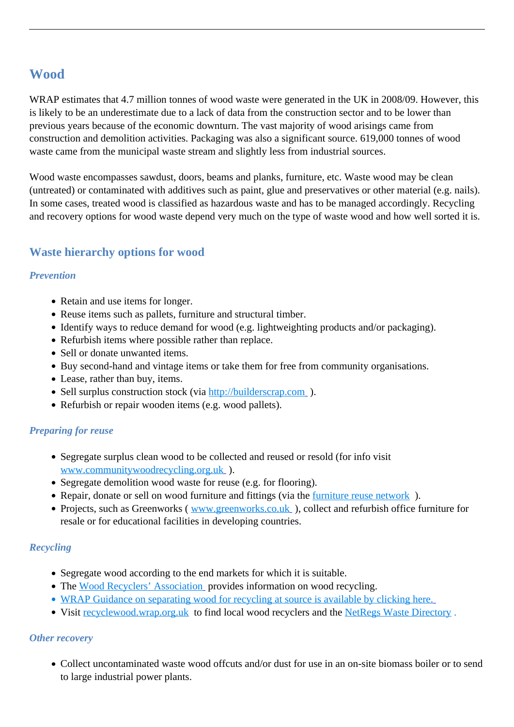# **Wood**

WRAP estimates that 4.7 million tonnes of wood waste were generated in the UK in 2008/09. However, this is likely to be an underestimate due to a lack of data from the construction sector and to be lower than previous years because of the economic downturn. The vast majority of wood arisings came from construction and demolition activities. Packaging was also a significant source. 619,000 tonnes of wood waste came from the municipal waste stream and slightly less from industrial sources.

Wood waste encompasses sawdust, doors, beams and planks, furniture, etc. Waste wood may be clean (untreated) or contaminated with additives such as paint, glue and preservatives or other material (e.g. nails). In some cases, treated wood is classified as hazardous waste and has to be managed accordingly. Recycling and recovery options for wood waste depend very much on the type of waste wood and how well sorted it is.

### **Waste hierarchy options for wood**

### *Prevention*

- Retain and use items for longer.
- Reuse items such as pallets, furniture and structural timber.
- Identify ways to reduce demand for wood (e.g. lightweighting products and/or packaging).
- Refurbish items where possible rather than replace.
- Sell or donate unwanted items.
- Buy second-hand and vintage items or take them for free from community organisations.
- Lease, rather than buy, items.
- Sell surplus construction stock (via [http://builderscrap.com](http://builderscrap.com/)).
- Refurbish or repair wooden items (e.g. wood pallets).

### *Preparing for reuse*

- Segregate surplus clean wood to be collected and reused or resold (for info visit [www.communitywoodrecycling.org.uk](http://www.communitywoodrecycling.org.uk/) ).
- Segregate demolition wood waste for reuse (e.g. for flooring).
- Repair, donate or sell on wood furniture and fittings (via the furniture reuse network).
- Projects, such as Greenworks ( www.greenworks.co.uk), collect and refurbish office furniture for resale or for educational facilities in developing countries.

### *Recycling*

- Segregate wood according to the end markets for which it is suitable.
- The [Wood Recyclers' Association](http://www.woodrecyclers.org/) provides information on wood recycling.
- [WRAP Guidance on separating wood for recycling at source is available by clicking here.](http://www.wrap.org.uk/downloads/WoodGuidancePoster.97d172d8.3130.pdf)
- Visit [recyclewood.wrap.org.uk](http://recyclewood.wrap.org.uk/) to find local wood recyclers and the [NetRegs Waste Directory](http://www.netregs.gov.uk/netregs/98247.aspx).

### *Other recovery*

• Collect uncontaminated waste wood offcuts and/or dust for use in an on-site biomass boiler or to send to large industrial power plants.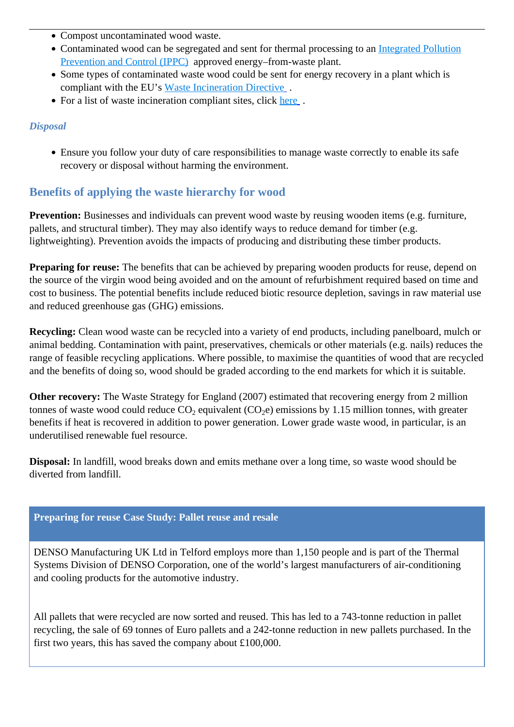- Compost uncontaminated wood waste.
- Contaminated wood can be segregated and sent for thermal processing to an [Integrated Pollution](http://www.environment-agency.gov.uk/business/regulation/109813.aspx) [Prevention and Control \(IPPC\)](http://www.environment-agency.gov.uk/business/regulation/109813.aspx) approved energy–from-waste plant.
- Some types of contaminated waste wood could be sent for energy recovery in a plant which is compliant with the EU's [Waste Incineration Directive](http://www.netregs.gov.uk/netregs/62983.aspx).
- For a list of waste incineration compliant sites, click here.

### *Disposal*

Ensure you follow your duty of care responsibilities to manage waste correctly to enable its safe recovery or disposal without harming the environment.

### **Benefits of applying the waste hierarchy for wood**

**Prevention:** Businesses and individuals can prevent wood waste by reusing wooden items (e.g. furniture, pallets, and structural timber). They may also identify ways to reduce demand for timber (e.g. lightweighting). Prevention avoids the impacts of producing and distributing these timber products.

**Preparing for reuse:** The benefits that can be achieved by preparing wooden products for reuse, depend on the source of the virgin wood being avoided and on the amount of refurbishment required based on time and cost to business. The potential benefits include reduced biotic resource depletion, savings in raw material use and reduced greenhouse gas (GHG) emissions.

**Recycling:** Clean wood waste can be recycled into a variety of end products, including panelboard, mulch or animal bedding. Contamination with paint, preservatives, chemicals or other materials (e.g. nails) reduces the range of feasible recycling applications. Where possible, to maximise the quantities of wood that are recycled and the benefits of doing so, wood should be graded according to the end markets for which it is suitable.

**Other recovery:** The Waste Strategy for England (2007) estimated that recovering energy from 2 million tonnes of waste wood could reduce  $CO_2$  equivalent ( $CO_2$ e) emissions by 1.15 million tonnes, with greater benefits if heat is recovered in addition to power generation. Lower grade waste wood, in particular, is an underutilised renewable fuel resource.

**Disposal:** In landfill, wood breaks down and emits methane over a long time, so waste wood should be diverted from landfill.

### **Preparing for reuse Case Study: Pallet reuse and resale**

DENSO Manufacturing UK Ltd in Telford employs more than 1,150 people and is part of the Thermal Systems Division of DENSO Corporation, one of the world's largest manufacturers of air-conditioning and cooling products for the automotive industry.

All pallets that were recycled are now sorted and reused. This has led to a 743-tonne reduction in pallet recycling, the sale of 69 tonnes of Euro pallets and a 242-tonne reduction in new pallets purchased. In the first two years, this has saved the company about £100,000.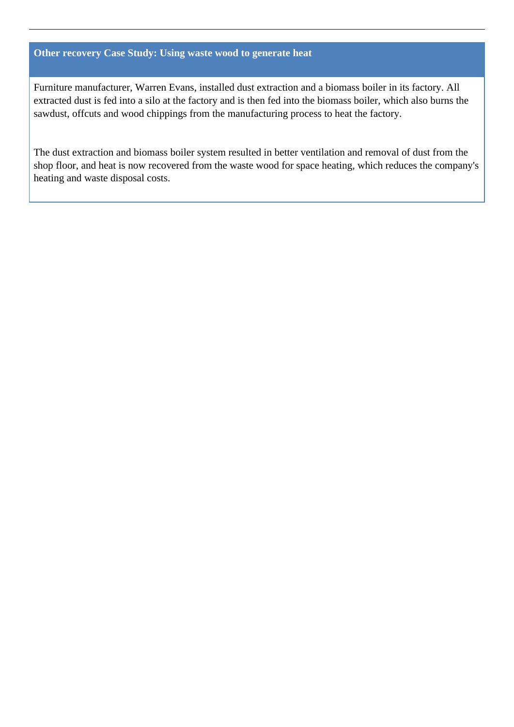### **Other recovery Case Study: Using waste wood to generate heat**

Furniture manufacturer, Warren Evans, installed dust extraction and a biomass boiler in its factory. All extracted dust is fed into a silo at the factory and is then fed into the biomass boiler, which also burns the sawdust, offcuts and wood chippings from the manufacturing process to heat the factory.

The dust extraction and biomass boiler system resulted in better ventilation and removal of dust from the shop floor, and heat is now recovered from the waste wood for space heating, which reduces the company's heating and waste disposal costs.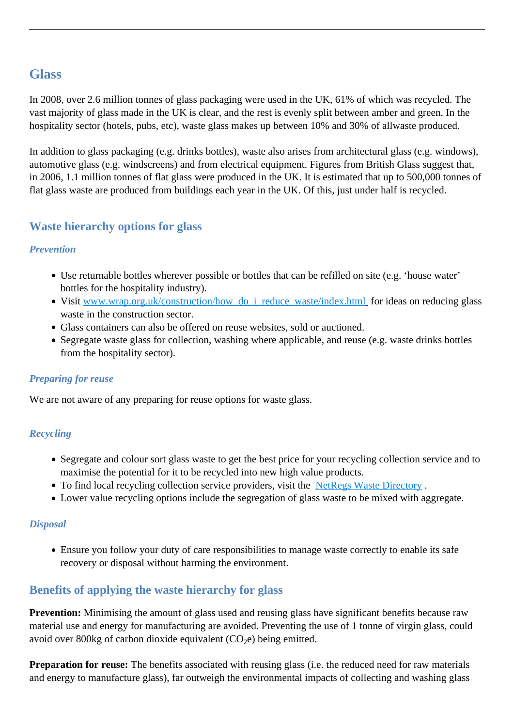## **Glass**

In 2008, over 2.6 million tonnes of glass packaging were used in the UK, 61% of which was recycled. The vast majority of glass made in the UK is clear, and the rest is evenly split between amber and green. In the hospitality sector (hotels, pubs, etc), waste glass makes up between 10% and 30% of allwaste produced.

In addition to glass packaging (e.g. drinks bottles), waste also arises from architectural glass (e.g. windows), automotive glass (e.g. windscreens) and from electrical equipment. Figures from British Glass suggest that, in 2006, 1.1 million tonnes of flat glass were produced in the UK. It is estimated that up to 500,000 tonnes of flat glass waste are produced from buildings each year in the UK. Of this, just under half is recycled.

### **Waste hierarchy options for glass**

### *Prevention*

- Use returnable bottles wherever possible or bottles that can be refilled on site (e.g. 'house water' bottles for the hospitality industry).
- Visit www.wrap.org.uk/construction/how do i reduce waste/index.html for ideas on reducing glass waste in the construction sector.
- Glass containers can also be offered on reuse websites, sold or auctioned.
- Segregate waste glass for collection, washing where applicable, and reuse (e.g. waste drinks bottles from the hospitality sector).

### *Preparing for reuse*

We are not aware of any preparing for reuse options for waste glass.

### *Recycling*

- Segregate and colour sort glass waste to get the best price for your recycling collection service and to maximise the potential for it to be recycled into new high value products.
- To find local recycling collection service providers, visit the NetRegs Waste Directory.
- Lower value recycling options include the segregation of glass waste to be mixed with aggregate.

### *Disposal*

Ensure you follow your duty of care responsibilities to manage waste correctly to enable its safe recovery or disposal without harming the environment.

### **Benefits of applying the waste hierarchy for glass**

**Prevention:** Minimising the amount of glass used and reusing glass have significant benefits because raw material use and energy for manufacturing are avoided. Preventing the use of 1 tonne of virgin glass, could avoid over 800kg of carbon dioxide equivalent  $(CO<sub>2</sub>e)$  being emitted.

**Preparation for reuse:** The benefits associated with reusing glass (i.e. the reduced need for raw materials and energy to manufacture glass), far outweigh the environmental impacts of collecting and washing glass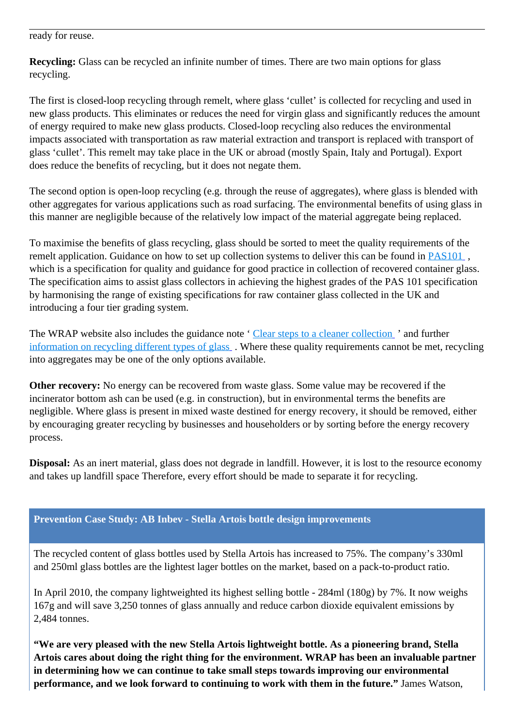ready for reuse.

**Recycling:** Glass can be recycled an infinite number of times. There are two main options for glass recycling.

The first is closed-loop recycling through remelt, where glass 'cullet' is collected for recycling and used in new glass products. This eliminates or reduces the need for virgin glass and significantly reduces the amount of energy required to make new glass products. Closed-loop recycling also reduces the environmental impacts associated with transportation as raw material extraction and transport is replaced with transport of glass 'cullet'. This remelt may take place in the UK or abroad (mostly Spain, Italy and Portugal). Export does reduce the benefits of recycling, but it does not negate them.

The second option is open-loop recycling (e.g. through the reuse of aggregates), where glass is blended with other aggregates for various applications such as road surfacing. The environmental benefits of using glass in this manner are negligible because of the relatively low impact of the material aggregate being replaced.

To maximise the benefits of glass recycling, glass should be sorted to meet the quality requirements of the remelt application. Guidance on how to set up collection systems to deliver this can be found in [PAS101](http://www.wrap.org.uk/recycling_industry/information_by_material/glass/pas101_recovered.html) , which is a specification for quality and guidance for good practice in collection of recovered container glass. The specification aims to assist glass collectors in achieving the highest grades of the PAS 101 specification by harmonising the range of existing specifications for raw container glass collected in the UK and introducing a four tier grading system.

The WRAP website also includes the guidance note '[Clear steps to a cleaner collection](http://www.wrap.org.uk/recycling_industry/information_by_material/glass/glass_collection.html) ' and further [information on recycling different types of glass](http://www.wrap.org.uk/recycling_industry/information_by_material/glass/types_of_glass.html) . Where these quality requirements cannot be met, recycling into aggregates may be one of the only options available.

**Other recovery:** No energy can be recovered from waste glass. Some value may be recovered if the incinerator bottom ash can be used (e.g. in construction), but in environmental terms the benefits are negligible. Where glass is present in mixed waste destined for energy recovery, it should be removed, either by encouraging greater recycling by businesses and householders or by sorting before the energy recovery process.

**Disposal:** As an inert material, glass does not degrade in landfill. However, it is lost to the resource economy and takes up landfill space Therefore, every effort should be made to separate it for recycling.

### **Prevention Case Study: AB Inbev - Stella Artois bottle design improvements**

The recycled content of glass bottles used by Stella Artois has increased to 75%. The company's 330ml and 250ml glass bottles are the lightest lager bottles on the market, based on a pack-to-product ratio.

In April 2010, the company lightweighted its highest selling bottle - 284ml (180g) by 7%. It now weighs 167g and will save 3,250 tonnes of glass annually and reduce carbon dioxide equivalent emissions by 2,484 tonnes.

**"We are very pleased with the new Stella Artois lightweight bottle. As a pioneering brand, Stella Artois cares about doing the right thing for the environment. WRAP has been an invaluable partner in determining how we can continue to take small steps towards improving our environmental performance, and we look forward to continuing to work with them in the future."** James Watson,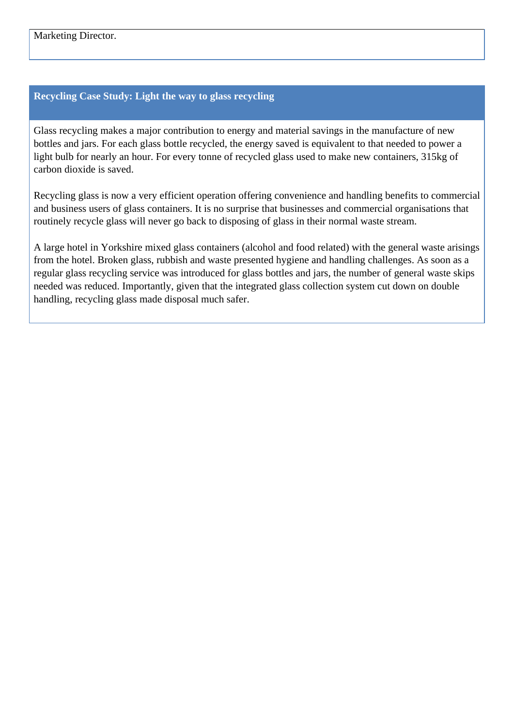#### **Recycling Case Study: Light the way to glass recycling**

Glass recycling makes a major contribution to energy and material savings in the manufacture of new bottles and jars. For each glass bottle recycled, the energy saved is equivalent to that needed to power a light bulb for nearly an hour. For every tonne of recycled glass used to make new containers, 315kg of carbon dioxide is saved.

Recycling glass is now a very efficient operation offering convenience and handling benefits to commercial and business users of glass containers. It is no surprise that businesses and commercial organisations that routinely recycle glass will never go back to disposing of glass in their normal waste stream.

A large hotel in Yorkshire mixed glass containers (alcohol and food related) with the general waste arisings from the hotel. Broken glass, rubbish and waste presented hygiene and handling challenges. As soon as a regular glass recycling service was introduced for glass bottles and jars, the number of general waste skips needed was reduced. Importantly, given that the integrated glass collection system cut down on double handling, recycling glass made disposal much safer.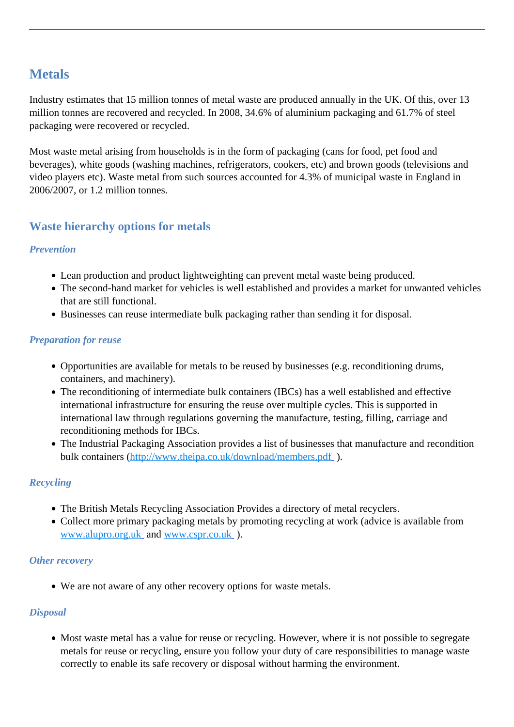## **Metals**

Industry estimates that 15 million tonnes of metal waste are produced annually in the UK. Of this, over 13 million tonnes are recovered and recycled. In 2008, 34.6% of aluminium packaging and 61.7% of steel packaging were recovered or recycled.

Most waste metal arising from households is in the form of packaging (cans for food, pet food and beverages), white goods (washing machines, refrigerators, cookers, etc) and brown goods (televisions and video players etc). Waste metal from such sources accounted for 4.3% of municipal waste in England in 2006/2007, or 1.2 million tonnes.

### **Waste hierarchy options for metals**

### *Prevention*

- Lean production and product lightweighting can prevent metal waste being produced.
- The second-hand market for vehicles is well established and provides a market for unwanted vehicles that are still functional.
- Businesses can reuse intermediate bulk packaging rather than sending it for disposal.

### *Preparation for reuse*

- Opportunities are available for metals to be reused by businesses (e.g. reconditioning drums, containers, and machinery).
- The reconditioning of intermediate bulk containers (IBCs) has a well established and effective international infrastructure for ensuring the reuse over multiple cycles. This is supported in international law through regulations governing the manufacture, testing, filling, carriage and reconditioning methods for IBCs.
- The Industrial Packaging Association provides a list of businesses that manufacture and recondition bulk containers (http://www.theipa.co.uk/download/members.pdf).

### *Recycling*

- The British Metals Recycling Association Provides a directory of metal recyclers.
- Collect more primary packaging metals by promoting recycling at work (advice is available from [www.alupro.org.uk](http://www.alupro.org.uk/) and [www.cspr.co.uk](http://www.cspr.co.uk/) ).

### *Other recovery*

We are not aware of any other recovery options for waste metals.

### *Disposal*

• Most waste metal has a value for reuse or recycling. However, where it is not possible to segregate metals for reuse or recycling, ensure you follow your duty of care responsibilities to manage waste correctly to enable its safe recovery or disposal without harming the environment.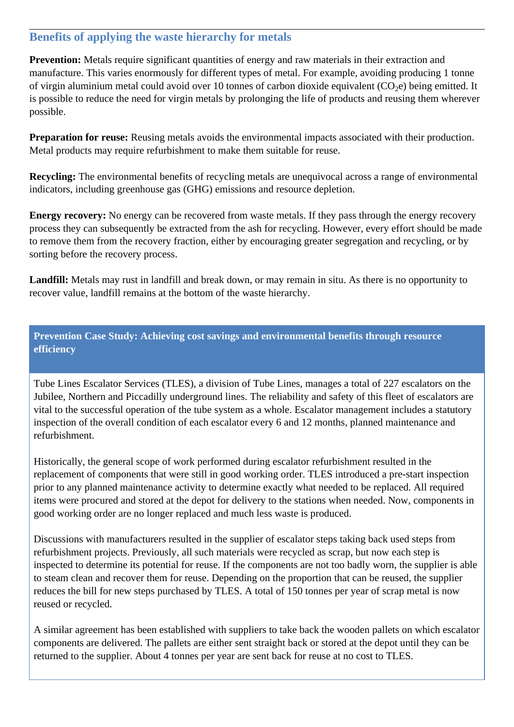### **Benefits of applying the waste hierarchy for metals**

**Prevention:** Metals require significant quantities of energy and raw materials in their extraction and manufacture. This varies enormously for different types of metal. For example, avoiding producing 1 tonne of virgin aluminium metal could avoid over 10 tonnes of carbon dioxide equivalent  $(CO<sub>2</sub>e)$  being emitted. It is possible to reduce the need for virgin metals by prolonging the life of products and reusing them wherever possible.

**Preparation for reuse:** Reusing metals avoids the environmental impacts associated with their production. Metal products may require refurbishment to make them suitable for reuse.

**Recycling:** The environmental benefits of recycling metals are unequivocal across a range of environmental indicators, including greenhouse gas (GHG) emissions and resource depletion.

**Energy recovery:** No energy can be recovered from waste metals. If they pass through the energy recovery process they can subsequently be extracted from the ash for recycling. However, every effort should be made to remove them from the recovery fraction, either by encouraging greater segregation and recycling, or by sorting before the recovery process.

**Landfill:** Metals may rust in landfill and break down, or may remain in situ. As there is no opportunity to recover value, landfill remains at the bottom of the waste hierarchy.

**Prevention Case Study: Achieving cost savings and environmental benefits through resource efficiency** 

Tube Lines Escalator Services (TLES), a division of Tube Lines, manages a total of 227 escalators on the Jubilee, Northern and Piccadilly underground lines. The reliability and safety of this fleet of escalators are vital to the successful operation of the tube system as a whole. Escalator management includes a statutory inspection of the overall condition of each escalator every 6 and 12 months, planned maintenance and refurbishment.

Historically, the general scope of work performed during escalator refurbishment resulted in the replacement of components that were still in good working order. TLES introduced a pre-start inspection prior to any planned maintenance activity to determine exactly what needed to be replaced. All required items were procured and stored at the depot for delivery to the stations when needed. Now, components in good working order are no longer replaced and much less waste is produced.

Discussions with manufacturers resulted in the supplier of escalator steps taking back used steps from refurbishment projects. Previously, all such materials were recycled as scrap, but now each step is inspected to determine its potential for reuse. If the components are not too badly worn, the supplier is able to steam clean and recover them for reuse. Depending on the proportion that can be reused, the supplier reduces the bill for new steps purchased by TLES. A total of 150 tonnes per year of scrap metal is now reused or recycled.

A similar agreement has been established with suppliers to take back the wooden pallets on which escalator components are delivered. The pallets are either sent straight back or stored at the depot until they can be returned to the supplier. About 4 tonnes per year are sent back for reuse at no cost to TLES.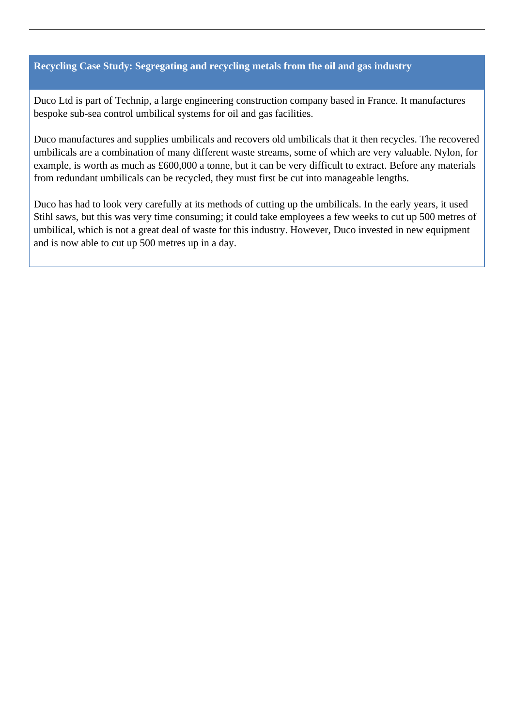#### **Recycling Case Study: Segregating and recycling metals from the oil and gas industry**

Duco Ltd is part of Technip, a large engineering construction company based in France. It manufactures bespoke sub-sea control umbilical systems for oil and gas facilities.

Duco manufactures and supplies umbilicals and recovers old umbilicals that it then recycles. The recovered umbilicals are a combination of many different waste streams, some of which are very valuable. Nylon, for example, is worth as much as £600,000 a tonne, but it can be very difficult to extract. Before any materials from redundant umbilicals can be recycled, they must first be cut into manageable lengths.

Duco has had to look very carefully at its methods of cutting up the umbilicals. In the early years, it used Stihl saws, but this was very time consuming; it could take employees a few weeks to cut up 500 metres of umbilical, which is not a great deal of waste for this industry. However, Duco invested in new equipment and is now able to cut up 500 metres up in a day.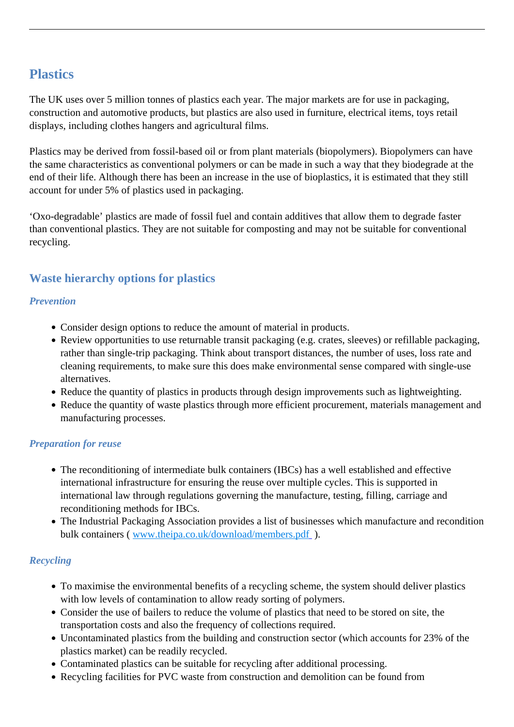# **Plastics**

The UK uses over 5 million tonnes of plastics each year. The major markets are for use in packaging, construction and automotive products, but plastics are also used in furniture, electrical items, toys retail displays, including clothes hangers and agricultural films.

Plastics may be derived from fossil-based oil or from plant materials (biopolymers). Biopolymers can have the same characteristics as conventional polymers or can be made in such a way that they biodegrade at the end of their life. Although there has been an increase in the use of bioplastics, it is estimated that they still account for under 5% of plastics used in packaging.

'Oxo-degradable' plastics are made of fossil fuel and contain additives that allow them to degrade faster than conventional plastics. They are not suitable for composting and may not be suitable for conventional recycling.

### **Waste hierarchy options for plastics**

### *Prevention*

- Consider design options to reduce the amount of material in products.
- Review opportunities to use returnable transit packaging (e.g. crates, sleeves) or refillable packaging, rather than single-trip packaging. Think about transport distances, the number of uses, loss rate and cleaning requirements, to make sure this does make environmental sense compared with single-use alternatives.
- Reduce the quantity of plastics in products through design improvements such as lightweighting.
- Reduce the quantity of waste plastics through more efficient procurement, materials management and manufacturing processes.

### *Preparation for reuse*

- The reconditioning of intermediate bulk containers (IBCs) has a well established and effective international infrastructure for ensuring the reuse over multiple cycles. This is supported in international law through regulations governing the manufacture, testing, filling, carriage and reconditioning methods for IBCs.
- The Industrial Packaging Association provides a list of businesses which manufacture and recondition bulk containers ( [www.theipa.co.uk/download/members.pdf](http://www.theipa.co.uk/download/members.pdf) ).

### *Recycling*

- To maximise the environmental benefits of a recycling scheme, the system should deliver plastics with low levels of contamination to allow ready sorting of polymers.
- Consider the use of bailers to reduce the volume of plastics that need to be stored on site, the transportation costs and also the frequency of collections required.
- Uncontaminated plastics from the building and construction sector (which accounts for 23% of the plastics market) can be readily recycled.
- Contaminated plastics can be suitable for recycling after additional processing.
- Recycling facilities for PVC waste from construction and demolition can be found from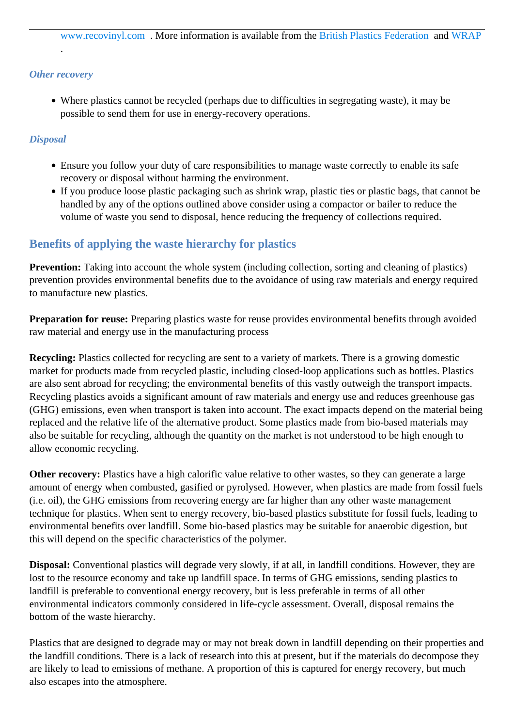#### *Other recovery*

.

Where plastics cannot be recycled (perhaps due to difficulties in segregating waste), it may be possible to send them for use in energy-recovery operations.

#### *Disposal*

- Ensure you follow your duty of care responsibilities to manage waste correctly to enable its safe recovery or disposal without harming the environment.
- If you produce loose plastic packaging such as shrink wrap, plastic ties or plastic bags, that cannot be handled by any of the options outlined above consider using a compactor or bailer to reduce the volume of waste you send to disposal, hence reducing the frequency of collections required.

### **Benefits of applying the waste hierarchy for plastics**

**Prevention:** Taking into account the whole system (including collection, sorting and cleaning of plastics) prevention provides environmental benefits due to the avoidance of using raw materials and energy required to manufacture new plastics.

**Preparation for reuse:** Preparing plastics waste for reuse provides environmental benefits through avoided raw material and energy use in the manufacturing process

**Recycling:** Plastics collected for recycling are sent to a variety of markets. There is a growing domestic market for products made from recycled plastic, including closed-loop applications such as bottles. Plastics are also sent abroad for recycling; the environmental benefits of this vastly outweigh the transport impacts. Recycling plastics avoids a significant amount of raw materials and energy use and reduces greenhouse gas (GHG) emissions, even when transport is taken into account. The exact impacts depend on the material being replaced and the relative life of the alternative product. Some plastics made from bio-based materials may also be suitable for recycling, although the quantity on the market is not understood to be high enough to allow economic recycling.

**Other recovery:** Plastics have a high calorific value relative to other wastes, so they can generate a large amount of energy when combusted, gasified or pyrolysed. However, when plastics are made from fossil fuels (i.e. oil), the GHG emissions from recovering energy are far higher than any other waste management technique for plastics. When sent to energy recovery, bio-based plastics substitute for fossil fuels, leading to environmental benefits over landfill. Some bio-based plastics may be suitable for anaerobic digestion, but this will depend on the specific characteristics of the polymer.

**Disposal:** Conventional plastics will degrade very slowly, if at all, in landfill conditions. However, they are lost to the resource economy and take up landfill space. In terms of GHG emissions, sending plastics to landfill is preferable to conventional energy recovery, but is less preferable in terms of all other environmental indicators commonly considered in life-cycle assessment. Overall, disposal remains the bottom of the waste hierarchy.

Plastics that are designed to degrade may or may not break down in landfill depending on their properties and the landfill conditions. There is a lack of research into this at present, but if the materials do decompose they are likely to lead to emissions of methane. A proportion of this is captured for energy recovery, but much also escapes into the atmosphere.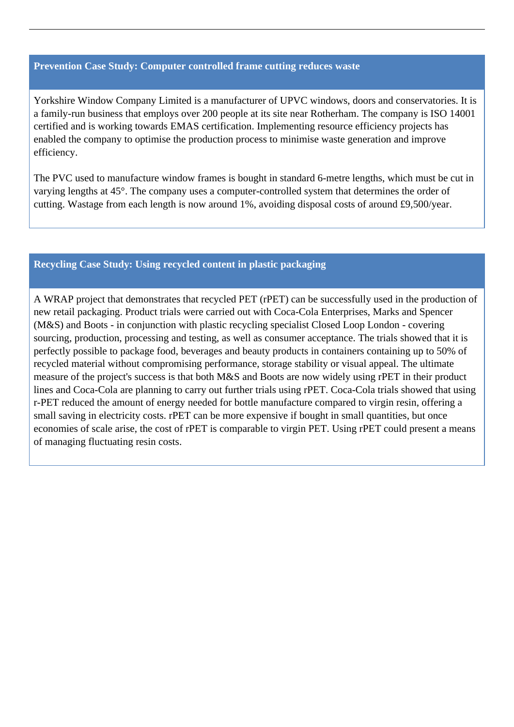#### **Prevention Case Study: Computer controlled frame cutting reduces waste**

Yorkshire Window Company Limited is a manufacturer of UPVC windows, doors and conservatories. It is a family-run business that employs over 200 people at its site near Rotherham. The company is ISO 14001 certified and is working towards EMAS certification. Implementing resource efficiency projects has enabled the company to optimise the production process to minimise waste generation and improve efficiency.

The PVC used to manufacture window frames is bought in standard 6-metre lengths, which must be cut in varying lengths at 45°. The company uses a computer-controlled system that determines the order of cutting. Wastage from each length is now around 1%, avoiding disposal costs of around £9,500/year.

#### **Recycling Case Study: Using recycled content in plastic packaging**

A WRAP project that demonstrates that recycled PET (rPET) can be successfully used in the production of new retail packaging. Product trials were carried out with Coca-Cola Enterprises, Marks and Spencer (M&S) and Boots - in conjunction with plastic recycling specialist Closed Loop London - covering sourcing, production, processing and testing, as well as consumer acceptance. The trials showed that it is perfectly possible to package food, beverages and beauty products in containers containing up to 50% of recycled material without compromising performance, storage stability or visual appeal. The ultimate measure of the project's success is that both M&S and Boots are now widely using rPET in their product lines and Coca-Cola are planning to carry out further trials using rPET. Coca-Cola trials showed that using r-PET reduced the amount of energy needed for bottle manufacture compared to virgin resin, offering a small saving in electricity costs. rPET can be more expensive if bought in small quantities, but once economies of scale arise, the cost of rPET is comparable to virgin PET. Using rPET could present a means of managing fluctuating resin costs.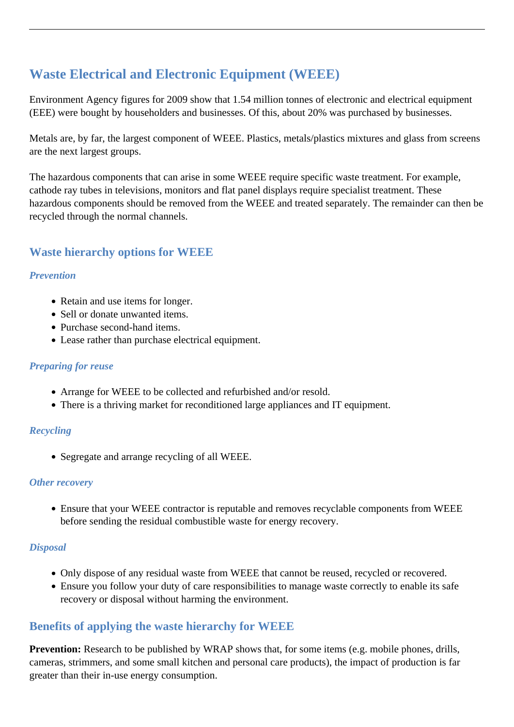# **Waste Electrical and Electronic Equipment (WEEE)**

Environment Agency figures for 2009 show that 1.54 million tonnes of electronic and electrical equipment (EEE) were bought by householders and businesses. Of this, about 20% was purchased by businesses.

Metals are, by far, the largest component of WEEE. Plastics, metals/plastics mixtures and glass from screens are the next largest groups.

The hazardous components that can arise in some WEEE require specific waste treatment. For example, cathode ray tubes in televisions, monitors and flat panel displays require specialist treatment. These hazardous components should be removed from the WEEE and treated separately. The remainder can then be recycled through the normal channels.

### **Waste hierarchy options for WEEE**

### *Prevention*

- Retain and use items for longer.
- Sell or donate unwanted items.
- Purchase second-hand items.
- Lease rather than purchase electrical equipment.

### *Preparing for reuse*

- Arrange for WEEE to be collected and refurbished and/or resold.
- There is a thriving market for reconditioned large appliances and IT equipment.

### *Recycling*

Segregate and arrange recycling of all WEEE.

### *Other recovery*

Ensure that your WEEE contractor is reputable and removes recyclable components from WEEE before sending the residual combustible waste for energy recovery.

### *Disposal*

- Only dispose of any residual waste from WEEE that cannot be reused, recycled or recovered.
- Ensure you follow your duty of care responsibilities to manage waste correctly to enable its safe recovery or disposal without harming the environment.

### **Benefits of applying the waste hierarchy for WEEE**

**Prevention:** Research to be published by WRAP shows that, for some items (e.g. mobile phones, drills, cameras, strimmers, and some small kitchen and personal care products), the impact of production is far greater than their in-use energy consumption.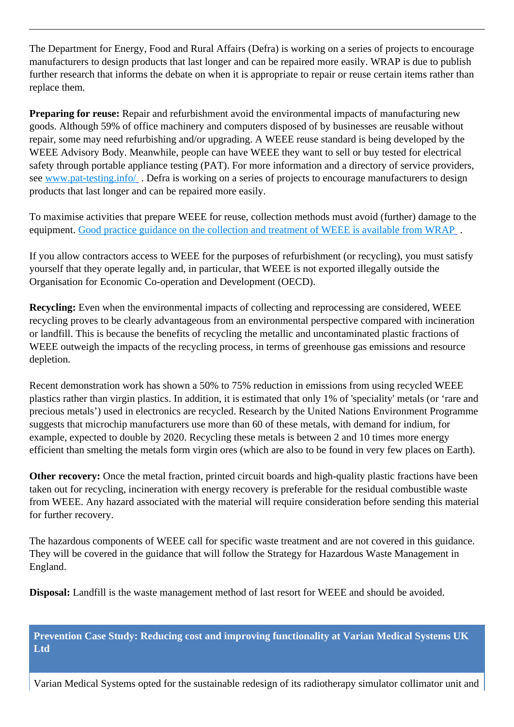The Department for Energy, Food and Rural Affairs (Defra) is working on a series of projects to encourage manufacturers to design products that last longer and can be repaired more easily. WRAP is due to publish further research that informs the debate on when it is appropriate to repair or reuse certain items rather than replace them.

**Preparing for reuse:** Repair and refurbishment avoid the environmental impacts of manufacturing new goods. Although 59% of office machinery and computers disposed of by businesses are reusable without repair, some may need refurbishing and/or upgrading. A WEEE reuse standard is being developed by the WEEE Advisory Body. Meanwhile, people can have WEEE they want to sell or buy tested for electrical safety through portable appliance testing (PAT). For more information and a directory of service providers, see www.pat-testing.info/. Defra is working on a series of projects to encourage manufacturers to design products that last longer and can be repaired more easily.

To maximise activities that prepare WEEE for reuse, collection methods must avoid (further) damage to the equipment. Good practice guidance on the collection and treatment of WEEE is available from WRAP.

If you allow contractors access to WEEE for the purposes of refurbishment (or recycling), you must satisfy yourself that they operate legally and, in particular, that WEEE is not exported illegally outside the Organisation for Economic Co-operation and Development (OECD).

**Recycling:** Even when the environmental impacts of collecting and reprocessing are considered, WEEE recycling proves to be clearly advantageous from an environmental perspective compared with incineration or landfill. This is because the benefits of recycling the metallic and uncontaminated plastic fractions of WEEE outweigh the impacts of the recycling process, in terms of greenhouse gas emissions and resource depletion.

Recent demonstration work has shown a 50% to 75% reduction in emissions from using recycled WEEE plastics rather than virgin plastics. In addition, it is estimated that only 1% of 'speciality' metals (or 'rare and precious metals') used in electronics are recycled. Research by the United Nations Environment Programme suggests that microchip manufacturers use more than 60 of these metals, with demand for indium, for example, expected to double by 2020. Recycling these metals is between 2 and 10 times more energy efficient than smelting the metals form virgin ores (which are also to be found in very few places on Earth).

**Other recovery:** Once the metal fraction, printed circuit boards and high-quality plastic fractions have been taken out for recycling, incineration with energy recovery is preferable for the residual combustible waste from WEEE. Any hazard associated with the material will require consideration before sending this material for further recovery.

The hazardous components of WEEE call for specific waste treatment and are not covered in this guidance. They will be covered in the guidance that will follow the Strategy for Hazardous Waste Management in England.

**Disposal:** Landfill is the waste management method of last resort for WEEE and should be avoided.

**Prevention Case Study: Reducing cost and improving functionality at Varian Medical Systems UK Ltd** 

Varian Medical Systems opted for the sustainable redesign of its radiotherapy simulator collimator unit and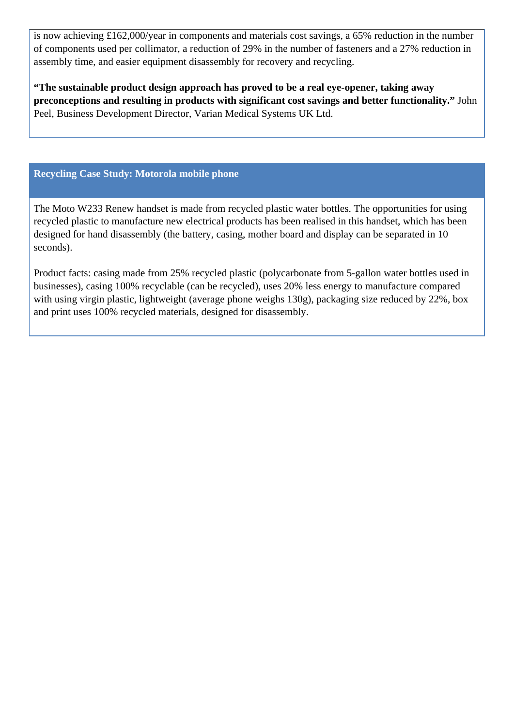is now achieving £162,000/year in components and materials cost savings, a 65% reduction in the number of components used per collimator, a reduction of 29% in the number of fasteners and a 27% reduction in assembly time, and easier equipment disassembly for recovery and recycling.

**"The sustainable product design approach has proved to be a real eye-opener, taking away preconceptions and resulting in products with significant cost savings and better functionality."** John Peel, Business Development Director, Varian Medical Systems UK Ltd.

### **Recycling Case Study: Motorola mobile phone**

The Moto W233 Renew handset is made from recycled plastic water bottles. The opportunities for using recycled plastic to manufacture new electrical products has been realised in this handset, which has been designed for hand disassembly (the battery, casing, mother board and display can be separated in 10 seconds).

Product facts: casing made from 25% recycled plastic (polycarbonate from 5-gallon water bottles used in businesses), casing 100% recyclable (can be recycled), uses 20% less energy to manufacture compared with using virgin plastic, lightweight (average phone weighs 130g), packaging size reduced by 22%, box and print uses 100% recycled materials, designed for disassembly.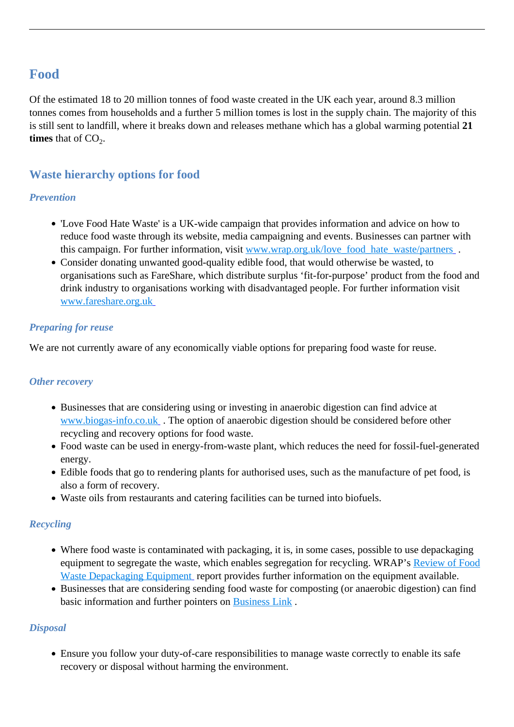## **Food**

Of the estimated 18 to 20 million tonnes of food waste created in the UK each year, around 8.3 million tonnes comes from households and a further 5 million tomes is lost in the supply chain. The majority of this is still sent to landfill, where it breaks down and releases methane which has a global warming potential **21 times** that of  $CO<sub>2</sub>$ .

### **Waste hierarchy options for food**

### *Prevention*

- 'Love Food Hate Waste' is a UK-wide campaign that provides information and advice on how to reduce food waste through its website, media campaigning and events. Businesses can partner with this campaign. For further information, visit [www.wrap.org.uk/love\\_food\\_hate\\_waste/partners](http://www.wrap.org.uk/love_food_hate_waste/partners) .
- Consider donating unwanted good-quality edible food, that would otherwise be wasted, to organisations such as FareShare, which distribute surplus 'fit-for-purpose' product from the food and drink industry to organisations working with disadvantaged people. For further information visit [www.fareshare.org.uk](http://www.fareshare.org.uk/)

### *Preparing for reuse*

We are not currently aware of any economically viable options for preparing food waste for reuse.

### *Other recovery*

- Businesses that are considering using or investing in anaerobic digestion can find advice at [www.biogas-info.co.uk](http://www.biogas-info.co.uk/) . The option of anaerobic digestion should be considered before other recycling and recovery options for food waste.
- Food waste can be used in energy-from-waste plant, which reduces the need for fossil-fuel-generated energy.
- Edible foods that go to rendering plants for authorised uses, such as the manufacture of pet food, is also a form of recovery.
- Waste oils from restaurants and catering facilities can be turned into biofuels.

### *Recycling*

- Where food waste is contaminated with packaging, it is, in some cases, possible to use depackaging equipment to segregate the waste, which enables segregation for recycling. WRAP's [Review of Food](http://www.wrap.org.uk/downloads/Food_waste_depackaging_equipment_FINAL_REPORT_April_09.e8e53f38.6989.pdf) [Waste Depackaging Equipment](http://www.wrap.org.uk/downloads/Food_waste_depackaging_equipment_FINAL_REPORT_April_09.e8e53f38.6989.pdf) report provides further information on the equipment available.
- Businesses that are considering sending food waste for composting (or anaerobic digestion) can find basic information and further pointers on [Business Link](http://www.businesslink.gov.uk/bdotg/action/detail?itemId=1083598646&type=RESOURCES) .

### *Disposal*

Ensure you follow your duty-of-care responsibilities to manage waste correctly to enable its safe recovery or disposal without harming the environment.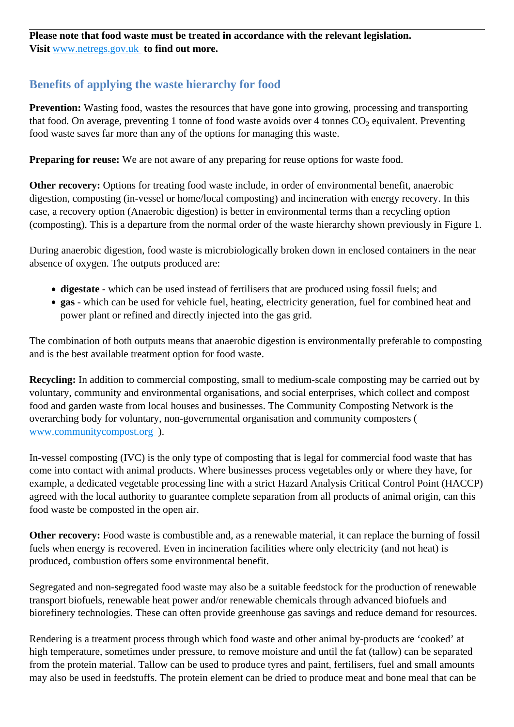**Please note that food waste must be treated in accordance with the relevant legislation. Visit** [www.netregs.gov.uk](http://www.netregs.gov.uk/) **to find out more.**

### **Benefits of applying the waste hierarchy for food**

**Prevention:** Wasting food, wastes the resources that have gone into growing, processing and transporting that food. On average, preventing 1 tonne of food waste avoids over 4 tonnes  $CO_2$  equivalent. Preventing food waste saves far more than any of the options for managing this waste.

**Preparing for reuse:** We are not aware of any preparing for reuse options for waste food.

**Other recovery:** Options for treating food waste include, in order of environmental benefit, anaerobic digestion, composting (in-vessel or home/local composting) and incineration with energy recovery. In this case, a recovery option (Anaerobic digestion) is better in environmental terms than a recycling option (composting). This is a departure from the normal order of the waste hierarchy shown previously in Figure 1.

During anaerobic digestion, food waste is microbiologically broken down in enclosed containers in the near absence of oxygen. The outputs produced are:

- **digestate** which can be used instead of fertilisers that are produced using fossil fuels; and
- **gas**  which can be used for vehicle fuel, heating, electricity generation, fuel for combined heat and power plant or refined and directly injected into the gas grid.

The combination of both outputs means that anaerobic digestion is environmentally preferable to composting and is the best available treatment option for food waste.

**Recycling:** In addition to commercial composting, small to medium-scale composting may be carried out by voluntary, community and environmental organisations, and social enterprises, which collect and compost food and garden waste from local houses and businesses. The Community Composting Network is the overarching body for voluntary, non-governmental organisation and community composters ( [www.communitycompost.org](http://www.communitycompost.org/) ).

In-vessel composting (IVC) is the only type of composting that is legal for commercial food waste that has come into contact with animal products. Where businesses process vegetables only or where they have, for example, a dedicated vegetable processing line with a strict Hazard Analysis Critical Control Point (HACCP) agreed with the local authority to guarantee complete separation from all products of animal origin, can this food waste be composted in the open air.

**Other recovery:** Food waste is combustible and, as a renewable material, it can replace the burning of fossil fuels when energy is recovered. Even in incineration facilities where only electricity (and not heat) is produced, combustion offers some environmental benefit.

Segregated and non-segregated food waste may also be a suitable feedstock for the production of renewable transport biofuels, renewable heat power and/or renewable chemicals through advanced biofuels and biorefinery technologies. These can often provide greenhouse gas savings and reduce demand for resources.

Rendering is a treatment process through which food waste and other animal by-products are 'cooked' at high temperature, sometimes under pressure, to remove moisture and until the fat (tallow) can be separated from the protein material. Tallow can be used to produce tyres and paint, fertilisers, fuel and small amounts may also be used in feedstuffs. The protein element can be dried to produce meat and bone meal that can be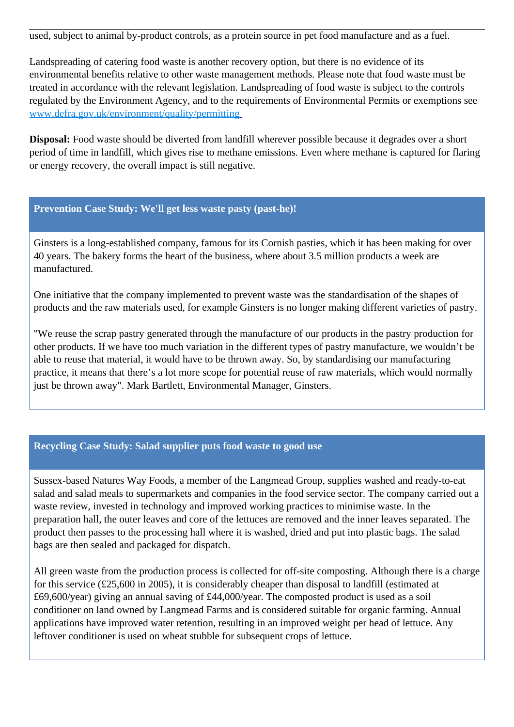used, subject to animal by-product controls, as a protein source in pet food manufacture and as a fuel.

Landspreading of catering food waste is another recovery option, but there is no evidence of its environmental benefits relative to other waste management methods. Please note that food waste must be treated in accordance with the relevant legislation. Landspreading of food waste is subject to the controls regulated by the Environment Agency, and to the requirements of Environmental Permits or exemptions see [www.defra.gov.uk/environment/quality/permitting](http://www.defra.gov.uk/environment/quality/permitting) 

**Disposal:** Food waste should be diverted from landfill wherever possible because it degrades over a short period of time in landfill, which gives rise to methane emissions. Even where methane is captured for flaring or energy recovery, the overall impact is still negative.

### **Prevention Case Study: We'll get less waste pasty (past-he)!**

Ginsters is a long-established company, famous for its Cornish pasties, which it has been making for over 40 years. The bakery forms the heart of the business, where about 3.5 million products a week are manufactured.

One initiative that the company implemented to prevent waste was the standardisation of the shapes of products and the raw materials used, for example Ginsters is no longer making different varieties of pastry.

"We reuse the scrap pastry generated through the manufacture of our products in the pastry production for other products. If we have too much variation in the different types of pastry manufacture, we wouldn't be able to reuse that material, it would have to be thrown away. So, by standardising our manufacturing practice, it means that there's a lot more scope for potential reuse of raw materials, which would normally just be thrown away". Mark Bartlett, Environmental Manager, Ginsters.

### **Recycling Case Study: Salad supplier puts food waste to good use**

Sussex-based Natures Way Foods, a member of the Langmead Group, supplies washed and ready-to-eat salad and salad meals to supermarkets and companies in the food service sector. The company carried out a waste review, invested in technology and improved working practices to minimise waste. In the preparation hall, the outer leaves and core of the lettuces are removed and the inner leaves separated. The product then passes to the processing hall where it is washed, dried and put into plastic bags. The salad bags are then sealed and packaged for dispatch.

All green waste from the production process is collected for off-site composting. Although there is a charge for this service (£25,600 in 2005), it is considerably cheaper than disposal to landfill (estimated at £69,600/year) giving an annual saving of £44,000/year. The composted product is used as a soil conditioner on land owned by Langmead Farms and is considered suitable for organic farming. Annual applications have improved water retention, resulting in an improved weight per head of lettuce. Any leftover conditioner is used on wheat stubble for subsequent crops of lettuce.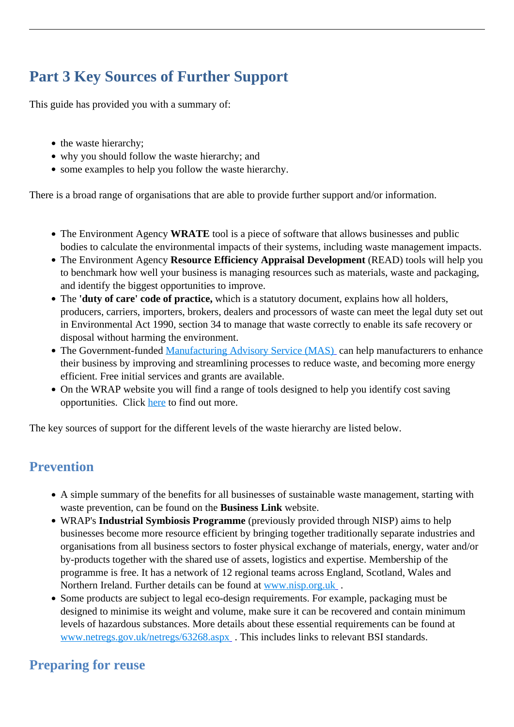# **Part 3 Key Sources of Further Support**

This guide has provided you with a summary of:

- the waste hierarchy;
- why you should follow the waste hierarchy; and
- some examples to help you follow the waste hierarchy.

There is a broad range of organisations that are able to provide further support and/or information.

- The Environment Agency **WRATE** tool is a piece of software that allows businesses and public bodies to calculate the environmental impacts of their systems, including waste management impacts.
- The Environment Agency **Resource Efficiency Appraisal Development** (READ) tools will help you to benchmark how well your business is managing resources such as materials, waste and packaging, and identify the biggest opportunities to improve.
- The **'duty of care' code of practice,** which is a statutory document, explains how all holders, producers, carriers, importers, brokers, dealers and processors of waste can meet the legal duty set out in Environmental Act 1990, section 34 to manage that waste correctly to enable its safe recovery or disposal without harming the environment.
- The Government-funded [Manufacturing Advisory Service \(MAS\)](http://www.mas.bis.gov.uk/) can help manufacturers to enhance their business by improving and streamlining processes to reduce waste, and becoming more energy efficient. Free initial services and grants are available.
- On the WRAP website you will find a range of tools designed to help you identify cost saving opportunities. Click [here](http://www.wrap.org.uk) to find out more.

The key sources of support for the different levels of the waste hierarchy are listed below.

# **Prevention**

- A simple summary of the benefits for all businesses of sustainable waste management, starting with waste prevention, can be found on the **Business Link** website.
- WRAP's **Industrial Symbiosis Programme** (previously provided through NISP) aims to help businesses become more resource efficient by bringing together traditionally separate industries and organisations from all business sectors to foster physical exchange of materials, energy, water and/or by-products together with the shared use of assets, logistics and expertise. Membership of the programme is free. It has a network of 12 regional teams across England, Scotland, Wales and Northern Ireland. Further details can be found at [www.nisp.org.uk](http://www.nisp.org.uk/) .
- Some products are subject to legal eco-design requirements. For example, packaging must be designed to minimise its weight and volume, make sure it can be recovered and contain minimum levels of hazardous substances. More details about these essential requirements can be found at [www.netregs.gov.uk/netregs/63268.aspx](http://www.netregs.gov.uk/netregs/63268.aspx) . This includes links to relevant BSI standards.

# **Preparing for reuse**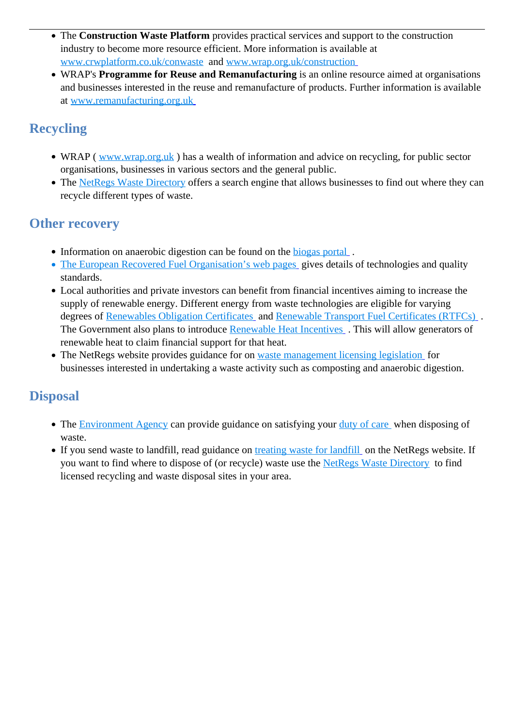- The **Construction Waste Platform** provides practical services and support to the construction industry to become more resource efficient. More information is available at [www.crwplatform.co.uk/conwaste](http://www.crwplatform.co.uk/conwaste) and [www.wrap.org.uk/construction](http://www.wrap.org.uk/construction )
- WRAP's **Programme for Reuse and Remanufacturing** is an online resource aimed at organisations and businesses interested in the reuse and remanufacture of products. Further information is available at [www.remanufacturing.org.uk](http://www.remanufacturing.org.uk/)

# **Recycling**

- WRAP ( [www.wrap.org.uk](http://www.wrap.org.uk) ) has a wealth of information and advice on recycling, for public sector organisations, businesses in various sectors and the general public.
- The [NetRegs Waste Directory](http://www.wastedirectory.org.uk/) offers a search engine that allows businesses to find out where they can recycle different types of waste.

# **Other recovery**

- Information on anaerobic digestion can be found on the biogas portal.
- [The European Recovered Fuel Organisation's web pages](http://erfo.info/Quality.6.0.html) gives details of technologies and quality standards.
- Local authorities and private investors can benefit from financial incentives aiming to increase the supply of renewable energy. Different energy from waste technologies are eligible for varying degrees of [Renewables Obligation Certificates](http://www.decc.gov.uk/media/viewfile.ashx?filepath=what%20we%20do/uk%20energy%20supply/energy%20mix/renewable%20energy/policy/renew_obs/key_stages/ro_consult/file46838.pdf&filetype=4) and [Renewable Transport Fuel Certificates \(RTFCs\)](http://www.decc.gov.uk/media/viewfile.ashx?filepath=what%20we%20do/uk%20energy%20supply/energy%20mix/renewable%20energy/policy/renew_obs/key_stages/ro_consult/file46838.pdf&filetype=4) . The Government also plans to introduce [Renewable Heat Incentives](http://www.decc.gov.uk/en/content/cms/what_we_do/uk_supply/energy_mix/renewable/policy/renewable_heat/incentive/incentive.aspx). This will allow generators of renewable heat to claim financial support for that heat.
- The NetRegs website provides guidance for on [waste management licensing legislation](http://www.netregs.gov.uk/netregs/63492.aspx) for businesses interested in undertaking a waste activity such as composting and anaerobic digestion.

# **Disposal**

- The [Environment Agency](http://www.environment-agency.gov.uk/) can provide guidance on satisfying your [duty of care](http://www.environment-agency.gov.uk/business/topics/waste/40047.aspx) when disposing of waste.
- If you send waste to landfill, read guidance on [treating waste for landfill](http://www.netregs.gov.uk/netregs/63540.aspx) on the NetRegs website. If you want to find where to dispose of (or recycle) waste use the [NetRegs Waste Directory](http://www.wastedirectory.org.uk/) to find licensed recycling and waste disposal sites in your area.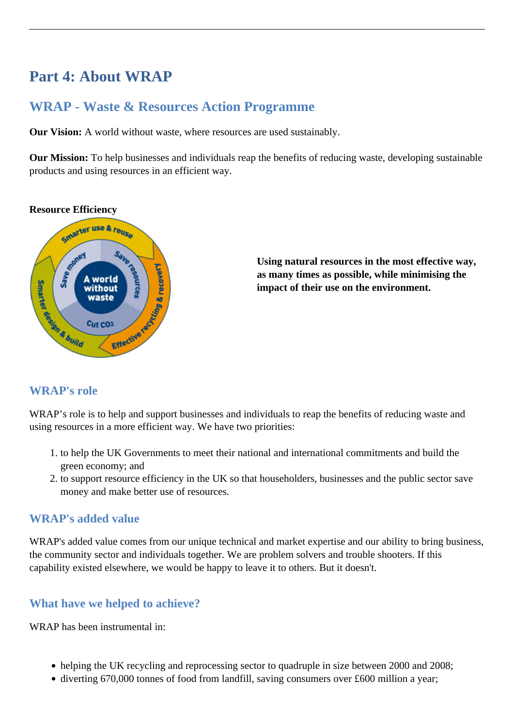# **Part 4: About WRAP**

# **WRAP - Waste & Resources Action Programme**

**Our Vision:** A world without waste, where resources are used sustainably.

**Our Mission:** To help businesses and individuals reap the benefits of reducing waste, developing sustainable products and using resources in an efficient way.

#### **Resource Efficiency**



**Using natural resources in the most effective way, as many times as possible, while minimising the impact of their use on the environment.**

### **WRAP's role**

WRAP's role is to help and support businesses and individuals to reap the benefits of reducing waste and using resources in a more efficient way. We have two priorities:

- 1. to help the UK Governments to meet their national and international commitments and build the green economy; and
- 2. to support resource efficiency in the UK so that householders, businesses and the public sector save money and make better use of resources.

### **WRAP's added value**

WRAP's added value comes from our unique technical and market expertise and our ability to bring business, the community sector and individuals together. We are problem solvers and trouble shooters. If this capability existed elsewhere, we would be happy to leave it to others. But it doesn't.

### **What have we helped to achieve?**

WRAP has been instrumental in:

- helping the UK recycling and reprocessing sector to quadruple in size between 2000 and 2008;
- diverting 670,000 tonnes of food from landfill, saving consumers over £600 million a year;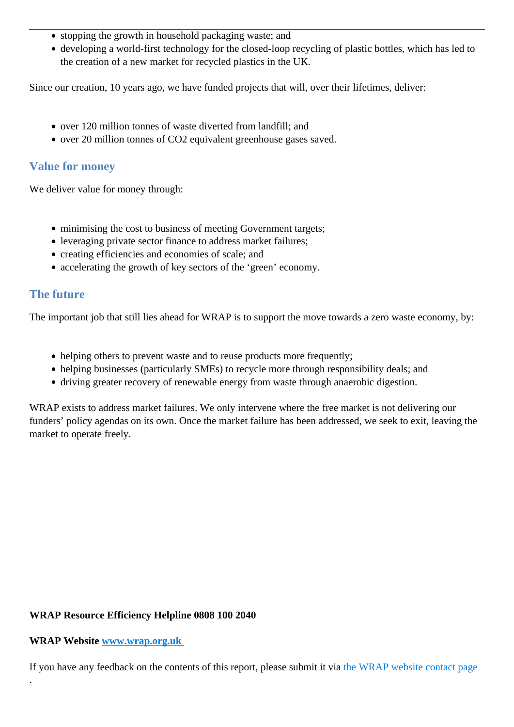- stopping the growth in household packaging waste; and
- developing a world-first technology for the closed-loop recycling of plastic bottles, which has led to the creation of a new market for recycled plastics in the UK.

Since our creation, 10 years ago, we have funded projects that will, over their lifetimes, deliver:

- over 120 million tonnes of waste diverted from landfill; and
- over 20 million tonnes of CO2 equivalent greenhouse gases saved.

### **Value for money**

We deliver value for money through:

- minimising the cost to business of meeting Government targets;
- leveraging private sector finance to address market failures;
- creating efficiencies and economies of scale; and
- accelerating the growth of key sectors of the 'green' economy.

### **The future**

The important job that still lies ahead for WRAP is to support the move towards a zero waste economy, by:

- helping others to prevent waste and to reuse products more frequently:
- helping businesses (particularly SMEs) to recycle more through responsibility deals; and
- driving greater recovery of renewable energy from waste through anaerobic digestion.

WRAP exists to address market failures. We only intervene where the free market is not delivering our funders' policy agendas on its own. Once the market failure has been addressed, we seek to exit, leaving the market to operate freely.

### **WRAP Resource Efficiency Helpline 0808 100 2040**

#### **WRAP Website [www.wrap.org.uk](http://www.wrap.org.uk/)**

.

If you have any feedback on the contents of this report, please submit it via the WRAP website contact page